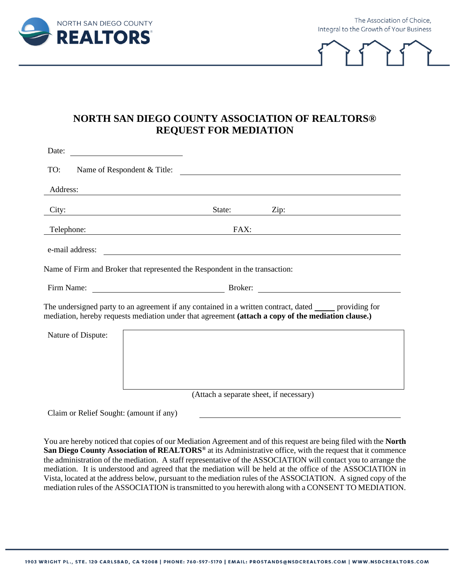

The Association of Choice, Integral to the Growth of Your Business



## **NORTH SAN DIEGO COUNTY ASSOCIATION OF REALTORS® REQUEST FOR MEDIATION**

| Date:                                                                                                                                                                                                     |                                                                                         |  |  |  |
|-----------------------------------------------------------------------------------------------------------------------------------------------------------------------------------------------------------|-----------------------------------------------------------------------------------------|--|--|--|
| TO:                                                                                                                                                                                                       | Name of Respondent & Title:<br><u> 1989 - Johann Stein, mars an de France</u>           |  |  |  |
| Address:                                                                                                                                                                                                  |                                                                                         |  |  |  |
| City:                                                                                                                                                                                                     | State:<br>Zip:                                                                          |  |  |  |
| Telephone:                                                                                                                                                                                                | FAX:<br>the contract of the contract of the contract of the contract of the contract of |  |  |  |
| e-mail address:                                                                                                                                                                                           |                                                                                         |  |  |  |
|                                                                                                                                                                                                           | Name of Firm and Broker that represented the Respondent in the transaction:             |  |  |  |
|                                                                                                                                                                                                           |                                                                                         |  |  |  |
| The undersigned party to an agreement if any contained in a written contract, dated reproviding for<br>mediation, hereby requests mediation under that agreement (attach a copy of the mediation clause.) |                                                                                         |  |  |  |
| Nature of Dispute:                                                                                                                                                                                        |                                                                                         |  |  |  |
|                                                                                                                                                                                                           |                                                                                         |  |  |  |
|                                                                                                                                                                                                           |                                                                                         |  |  |  |
|                                                                                                                                                                                                           |                                                                                         |  |  |  |
|                                                                                                                                                                                                           | (Attach a separate sheet, if necessary)                                                 |  |  |  |
| Claim or Relief Sought: (amount if any)                                                                                                                                                                   |                                                                                         |  |  |  |

You are hereby noticed that copies of our Mediation Agreement and of this request are being filed with the **North**  San Diego County Association of REALTORS<sup>®</sup> at its Administrative office, with the request that it commence the administration of the mediation. A staff representative of the ASSOCIATION will contact you to arrange the mediation. It is understood and agreed that the mediation will be held at the office of the ASSOCIATION in Vista, located at the address below, pursuant to the mediation rules of the ASSOCIATION. A signed copy of the mediation rules of the ASSOCIATION is transmitted to you herewith along with a CONSENT TO MEDIATION.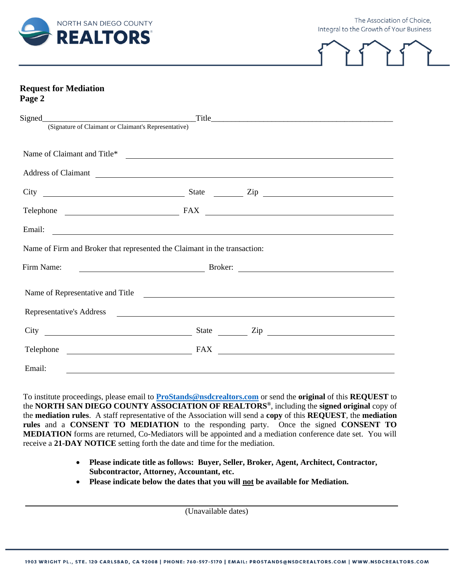

The Association of Choice, Integral to the Growth of Your Business



### **Request for Mediation Page 2**

| Signed<br>(Signature of Claimant or Claimant's Representative) |                                                                           |                                                                                                                                                                                                                                      |  |  |
|----------------------------------------------------------------|---------------------------------------------------------------------------|--------------------------------------------------------------------------------------------------------------------------------------------------------------------------------------------------------------------------------------|--|--|
|                                                                |                                                                           |                                                                                                                                                                                                                                      |  |  |
|                                                                |                                                                           | Name of Claimant and Title*                                                                                                                                                                                                          |  |  |
|                                                                |                                                                           | Address of Claimant                                                                                                                                                                                                                  |  |  |
|                                                                |                                                                           |                                                                                                                                                                                                                                      |  |  |
|                                                                |                                                                           |                                                                                                                                                                                                                                      |  |  |
|                                                                |                                                                           | Email: <u>Alexander and Alexander and Alexander and Alexander and Alexander and Alexander and Alexander and Alexander and Alexander and Alexander and Alexander and Alexander and Alexander and Alexander and Alexander and Alex</u> |  |  |
|                                                                | Name of Firm and Broker that represented the Claimant in the transaction: |                                                                                                                                                                                                                                      |  |  |
| Firm Name:                                                     |                                                                           |                                                                                                                                                                                                                                      |  |  |
|                                                                |                                                                           | Name of Representative and Title 2008 and Title                                                                                                                                                                                      |  |  |
|                                                                |                                                                           |                                                                                                                                                                                                                                      |  |  |
|                                                                |                                                                           | State <u>Cip</u> Cip                                                                                                                                                                                                                 |  |  |
|                                                                | <b>FAX</b>                                                                | <u> 1989 - Johann Stein, mars an de Francisco (f. 1989)</u>                                                                                                                                                                          |  |  |
| Email:                                                         |                                                                           |                                                                                                                                                                                                                                      |  |  |

To institute proceedings, please email to **[ProStands@nsdcrealtors.com](mailto:ProStands@nsdcrealtors.com)** or send the **original** of this **REQUEST** to the **NORTH SAN DIEGO COUNTY ASSOCIATION OF REALTORS®** , including the **signed original** copy of the **mediation rules**. A staff representative of the Association will send a **copy** of this **REQUEST**, the **mediation rules** and a **CONSENT TO MEDIATION** to the responding party. Once the signed **CONSENT TO MEDIATION** forms are returned, Co-Mediators will be appointed and a mediation conference date set. You will receive a **21-DAY NOTICE** setting forth the date and time for the mediation.

- **Please indicate title as follows: Buyer, Seller, Broker, Agent, Architect, Contractor, Subcontractor, Attorney, Accountant, etc.**
- **Please indicate below the dates that you will not be available for Mediation.**

(Unavailable dates)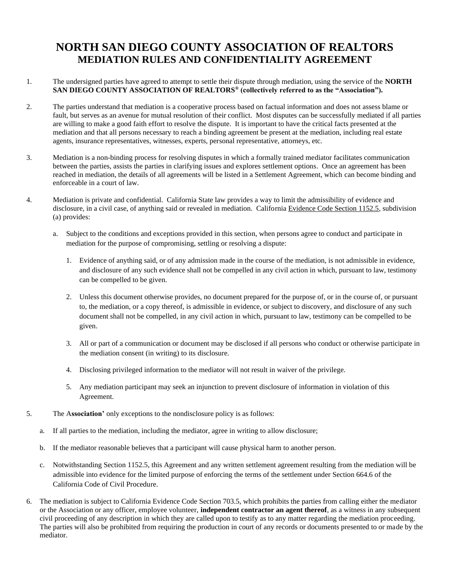# **NORTH SAN DIEGO COUNTY ASSOCIATION OF REALTORS MEDIATION RULES AND CONFIDENTIALITY AGREEMENT**

- 1. The undersigned parties have agreed to attempt to settle their dispute through mediation, using the service of the **NORTH SAN DIEGO COUNTY ASSOCIATION OF REALTORS® (collectively referred to as the "Association").**
- 2. The parties understand that mediation is a cooperative process based on factual information and does not assess blame or fault, but serves as an avenue for mutual resolution of their conflict. Most disputes can be successfully mediated if all parties are willing to make a good faith effort to resolve the dispute. It is important to have the critical facts presented at the mediation and that all persons necessary to reach a binding agreement be present at the mediation, including real estate agents, insurance representatives, witnesses, experts, personal representative, attorneys, etc.
- 3. Mediation is a non-binding process for resolving disputes in which a formally trained mediator facilitates communication between the parties, assists the parties in clarifying issues and explores settlement options. Once an agreement has been reached in mediation, the details of all agreements will be listed in a Settlement Agreement, which can become binding and enforceable in a court of law.
- 4. Mediation is private and confidential. California State law provides a way to limit the admissibility of evidence and disclosure, in a civil case, of anything said or revealed in mediation. California Evidence Code Section 1152.5, subdivision (a) provides:
	- a. Subject to the conditions and exceptions provided in this section, when persons agree to conduct and participate in mediation for the purpose of compromising, settling or resolving a dispute:
		- 1. Evidence of anything said, or of any admission made in the course of the mediation, is not admissible in evidence, and disclosure of any such evidence shall not be compelled in any civil action in which, pursuant to law, testimony can be compelled to be given.
		- 2. Unless this document otherwise provides, no document prepared for the purpose of, or in the course of, or pursuant to, the mediation, or a copy thereof, is admissible in evidence, or subject to discovery, and disclosure of any such document shall not be compelled, in any civil action in which, pursuant to law, testimony can be compelled to be given.
		- 3. All or part of a communication or document may be disclosed if all persons who conduct or otherwise participate in the mediation consent (in writing) to its disclosure.
		- 4. Disclosing privileged information to the mediator will not result in waiver of the privilege.
		- 5. Any mediation participant may seek an injunction to prevent disclosure of information in violation of this Agreement.
- 5. The A**ssociation'** only exceptions to the nondisclosure policy is as follows:
	- a. If all parties to the mediation, including the mediator, agree in writing to allow disclosure;
	- b. If the mediator reasonable believes that a participant will cause physical harm to another person.
	- c. Notwithstanding Section 1152.5, this Agreement and any written settlement agreement resulting from the mediation will be admissible into evidence for the limited purpose of enforcing the terms of the settlement under Section 664.6 of the California Code of Civil Procedure.
- 6. The mediation is subject to California Evidence Code Section 703.5, which prohibits the parties from calling either the mediator or the Association or any officer, employee volunteer, **independent contractor an agent thereof**, as a witness in any subsequent civil proceeding of any description in which they are called upon to testify as to any matter regarding the mediation proceeding. The parties will also be prohibited from requiring the production in court of any records or documents presented to or made by the mediator.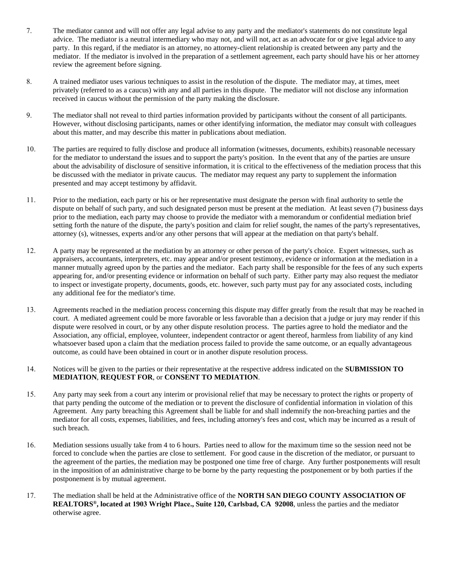- 7. The mediator cannot and will not offer any legal advise to any party and the mediator's statements do not constitute legal advice. The mediator is a neutral intermediary who may not, and will not, act as an advocate for or give legal advice to any party. In this regard, if the mediator is an attorney, no attorney-client relationship is created between any party and the mediator. If the mediator is involved in the preparation of a settlement agreement, each party should have his or her attorney review the agreement before signing.
- 8. A trained mediator uses various techniques to assist in the resolution of the dispute. The mediator may, at times, meet privately (referred to as a caucus) with any and all parties in this dispute. The mediator will not disclose any information received in caucus without the permission of the party making the disclosure.
- 9. The mediator shall not reveal to third parties information provided by participants without the consent of all participants. However, without disclosing participants, names or other identifying information, the mediator may consult with colleagues about this matter, and may describe this matter in publications about mediation.
- 10. The parties are required to fully disclose and produce all information (witnesses, documents, exhibits) reasonable necessary for the mediator to understand the issues and to support the party's position. In the event that any of the parties are unsure about the advisability of disclosure of sensitive information, it is critical to the effectiveness of the mediation process that this be discussed with the mediator in private caucus. The mediator may request any party to supplement the information presented and may accept testimony by affidavit.
- 11. Prior to the mediation, each party or his or her representative must designate the person with final authority to settle the dispute on behalf of such party, and such designated person must be present at the mediation. At least seven (7) business days prior to the mediation, each party may choose to provide the mediator with a memorandum or confidential mediation brief setting forth the nature of the dispute, the party's position and claim for relief sought, the names of the party's representatives, attorney (s), witnesses, experts and/or any other persons that will appear at the mediation on that party's behalf.
- 12. A party may be represented at the mediation by an attorney or other person of the party's choice. Expert witnesses, such as appraisers, accountants, interpreters, etc. may appear and/or present testimony, evidence or information at the mediation in a manner mutually agreed upon by the parties and the mediator. Each party shall be responsible for the fees of any such experts appearing for, and/or presenting evidence or information on behalf of such party. Either party may also request the mediator to inspect or investigate property, documents, goods, etc. however, such party must pay for any associated costs, including any additional fee for the mediator's time.
- 13. Agreements reached in the mediation process concerning this dispute may differ greatly from the result that may be reached in court. A mediated agreement could be more favorable or less favorable than a decision that a judge or jury may render if this dispute were resolved in court, or by any other dispute resolution process. The parties agree to hold the mediator and the Association, any official, employee, volunteer, independent contractor or agent thereof, harmless from liability of any kind whatsoever based upon a claim that the mediation process failed to provide the same outcome, or an equally advantageous outcome, as could have been obtained in court or in another dispute resolution process.
- 14. Notices will be given to the parties or their representative at the respective address indicated on the **SUBMISSION TO MEDIATION**, **REQUEST FOR**, or **CONSENT TO MEDIATION**.
- 15. Any party may seek from a court any interim or provisional relief that may be necessary to protect the rights or property of that party pending the outcome of the mediation or to prevent the disclosure of confidential information in violation of this Agreement. Any party breaching this Agreement shall be liable for and shall indemnify the non-breaching parties and the mediator for all costs, expenses, liabilities, and fees, including attorney's fees and cost, which may be incurred as a result of such breach.
- 16. Mediation sessions usually take from 4 to 6 hours. Parties need to allow for the maximum time so the session need not be forced to conclude when the parties are close to settlement. For good cause in the discretion of the mediator, or pursuant to the agreement of the parties, the mediation may be postponed one time free of charge. Any further postponements will result in the imposition of an administrative charge to be borne by the party requesting the postponement or by both parties if the postponement is by mutual agreement.
- 17. The mediation shall be held at the Administrative office of the **NORTH SAN DIEGO COUNTY ASSOCIATION OF REALTORS®, located at 1903 Wright Place., Suite 120, Carlsbad, CA 92008**, unless the parties and the mediator otherwise agree.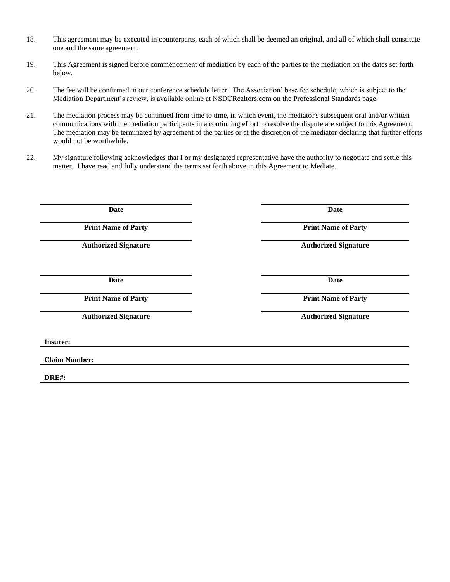- 18. This agreement may be executed in counterparts, each of which shall be deemed an original, and all of which shall constitute one and the same agreement.
- 19. This Agreement is signed before commencement of mediation by each of the parties to the mediation on the dates set forth below.
- 20. The fee will be confirmed in our conference schedule letter. The Association' base fee schedule, which is subject to the Mediation Department's review, is available online at NSDCRealtors.com on the Professional Standards page.
- 21. The mediation process may be continued from time to time, in which event, the mediator's subsequent oral and/or written communications with the mediation participants in a continuing effort to resolve the dispute are subject to this Agreement. The mediation may be terminated by agreement of the parties or at the discretion of the mediator declaring that further efforts would not be worthwhile.
- 22. My signature following acknowledges that I or my designated representative have the authority to negotiate and settle this matter. I have read and fully understand the terms set forth above in this Agreement to Mediate.

**Date Date**

**Date Date**

**Insurer:**

**Claim Number:**

**DRE#:**

**Print Name of Party Print Name of Party** 

**Authorized Signature Authorized Signature**

**Print Name of Party Print Name of Party**

**Authorized Signature Authorized Signature**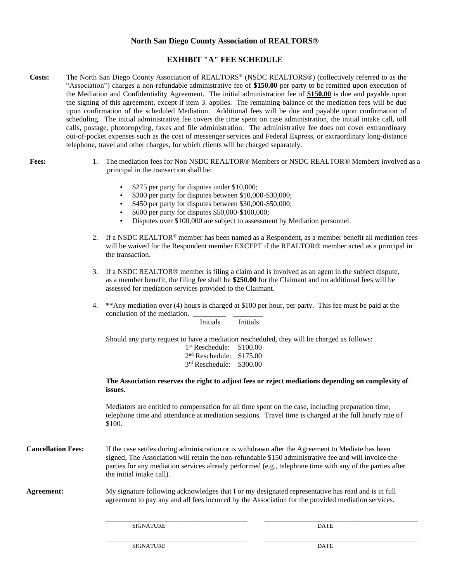#### **North San Diego County Association of REALTORS®**

### **EXHIBIT "A" FEE SCHEDULE**

- **Costs:** The North San Diego County Association of REALTORS® (NSDC REALTORS®) (collectively referred to as the "Association") charges a non-refundable administrative fee of **\$150.00** per party to be remitted upon execution of the Mediation and Confidentiality Agreement. The initial administration fee of **\$150.00** is due and payable upon the signing of this agreement, except if item 3. applies. The remaining balance of the mediation fees will be due upon confirmation of the scheduled Mediation. Additional fees will be due and payable upon confirmation of scheduling. The initial administrative fee covers the time spent on case administration, the initial intake call, toll calls, postage, photocopying, faxes and file administration. The administrative fee does not cover extraordinary out-of-pocket expenses such as the cost of messenger services and Federal Express, or extraordinary long-distance telephone, travel and other charges, for which clients will be charged separately.
- 
- **Fees:** 1. The mediation fees for Non NSDC REALTOR® Members or NSDC REALTOR® Members involved as a principal in the transaction shall be:
	- \$275 per party for disputes under \$10,000;
	- \$300 per party for disputes between \$10,000-\$30,000;
	- \$450 per party for disputes between \$30,000-\$50,000;
	- \$600 per party for disputes \$50,000-\$100,000;
	- Disputes over \$100,000 are subject to assessment by Mediation personnel.
	- 2. If a NSDC REALTOR<sup>®</sup> member has been named as a Respondent, as a member benefit all mediation fees will be waived for the Respondent member EXCEPT if the REALTOR® member acted as a principal in the transaction.
	- 3. If a NSDC REALTOR® member is filing a claim and is involved as an agent in the subject dispute, as a member benefit, the filing fee shall be **\$250.00** for the Claimant and no additional fees will be assessed for mediation services provided to the Claimant.
	- 4. \*\*Any mediation over (4) hours is charged at \$100 per hour, per party. This fee must be paid at the conclusion of the mediation.

|                           | Initials                                                                                                                                                                                                                                                                                                                                           | Initials                                                                                          |  |
|---------------------------|----------------------------------------------------------------------------------------------------------------------------------------------------------------------------------------------------------------------------------------------------------------------------------------------------------------------------------------------------|---------------------------------------------------------------------------------------------------|--|
|                           | Should any party request to have a mediation rescheduled, they will be charged as follows:                                                                                                                                                                                                                                                         |                                                                                                   |  |
|                           | $1st$ Reschedule:                                                                                                                                                                                                                                                                                                                                  | \$100.00                                                                                          |  |
|                           | 2 <sup>nd</sup> Reschedule: \$175.00                                                                                                                                                                                                                                                                                                               |                                                                                                   |  |
|                           | 3rd Reschedule: \$300.00                                                                                                                                                                                                                                                                                                                           |                                                                                                   |  |
|                           | issues.                                                                                                                                                                                                                                                                                                                                            | The Association reserves the right to adjust fees or reject mediations depending on complexity of |  |
|                           | Mediators are entitled to compensation for all time spent on the case, including preparation time,<br>telephone time and attendance at mediation sessions. Travel time is charged at the full hourly rate of<br>\$100.                                                                                                                             |                                                                                                   |  |
| <b>Cancellation Fees:</b> | If the case settles during administration or is withdrawn after the Agreement to Mediate has been<br>signed, The Association will retain the non-refundable \$150 administrative fee and will invoice the<br>parties for any mediation services already performed (e.g., telephone time with any of the parties after<br>the initial intake call). |                                                                                                   |  |
| <b>Agreement:</b>         | My signature following acknowledges that I or my designated representative has read and is in full<br>agreement to pay any and all fees incurred by the Association for the provided mediation services.                                                                                                                                           |                                                                                                   |  |
|                           | <b>SIGNATURE</b>                                                                                                                                                                                                                                                                                                                                   | <b>DATE</b>                                                                                       |  |

SIGNATURE DATE